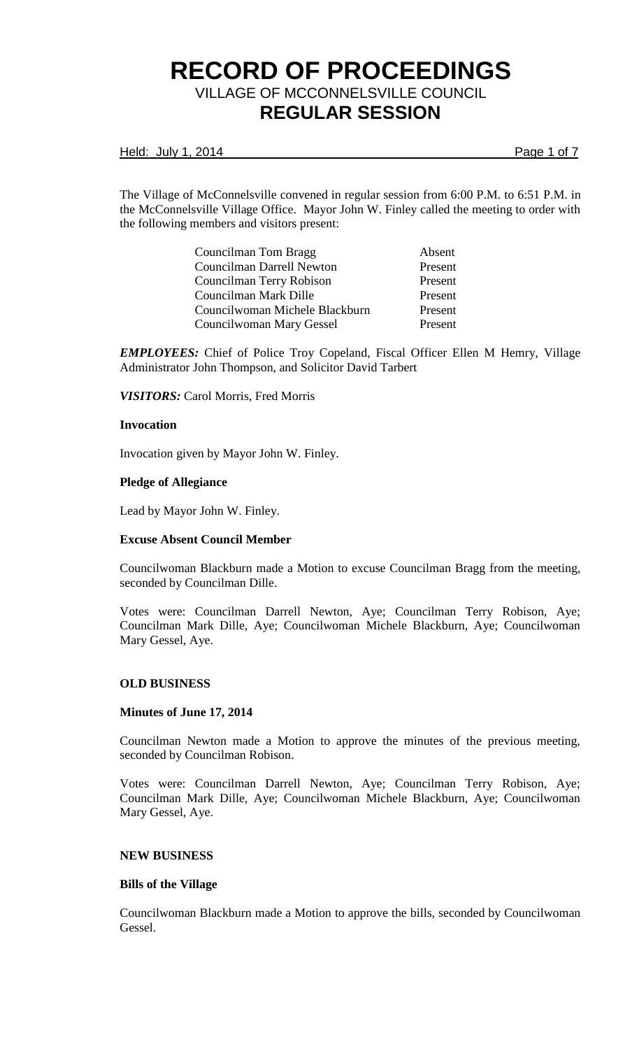Held: July 1, 2014 **Page 1 of 7** 

The Village of McConnelsville convened in regular session from 6:00 P.M. to 6:51 P.M. in the McConnelsville Village Office. Mayor John W. Finley called the meeting to order with the following members and visitors present:

| Councilman Tom Bragg             | Absent  |
|----------------------------------|---------|
| <b>Councilman Darrell Newton</b> | Present |
| Councilman Terry Robison         | Present |
| Councilman Mark Dille            | Present |
| Councilwoman Michele Blackburn   | Present |
| Councilwoman Mary Gessel         | Present |

*EMPLOYEES:* Chief of Police Troy Copeland, Fiscal Officer Ellen M Hemry, Village Administrator John Thompson, and Solicitor David Tarbert

*VISITORS:* Carol Morris, Fred Morris

#### **Invocation**

Invocation given by Mayor John W. Finley.

### **Pledge of Allegiance**

Lead by Mayor John W. Finley.

#### **Excuse Absent Council Member**

Councilwoman Blackburn made a Motion to excuse Councilman Bragg from the meeting, seconded by Councilman Dille.

Votes were: Councilman Darrell Newton, Aye; Councilman Terry Robison, Aye; Councilman Mark Dille, Aye; Councilwoman Michele Blackburn, Aye; Councilwoman Mary Gessel, Aye.

## **OLD BUSINESS**

## **Minutes of June 17, 2014**

Councilman Newton made a Motion to approve the minutes of the previous meeting, seconded by Councilman Robison.

Votes were: Councilman Darrell Newton, Aye; Councilman Terry Robison, Aye; Councilman Mark Dille, Aye; Councilwoman Michele Blackburn, Aye; Councilwoman Mary Gessel, Aye.

#### **NEW BUSINESS**

### **Bills of the Village**

Councilwoman Blackburn made a Motion to approve the bills, seconded by Councilwoman Gessel.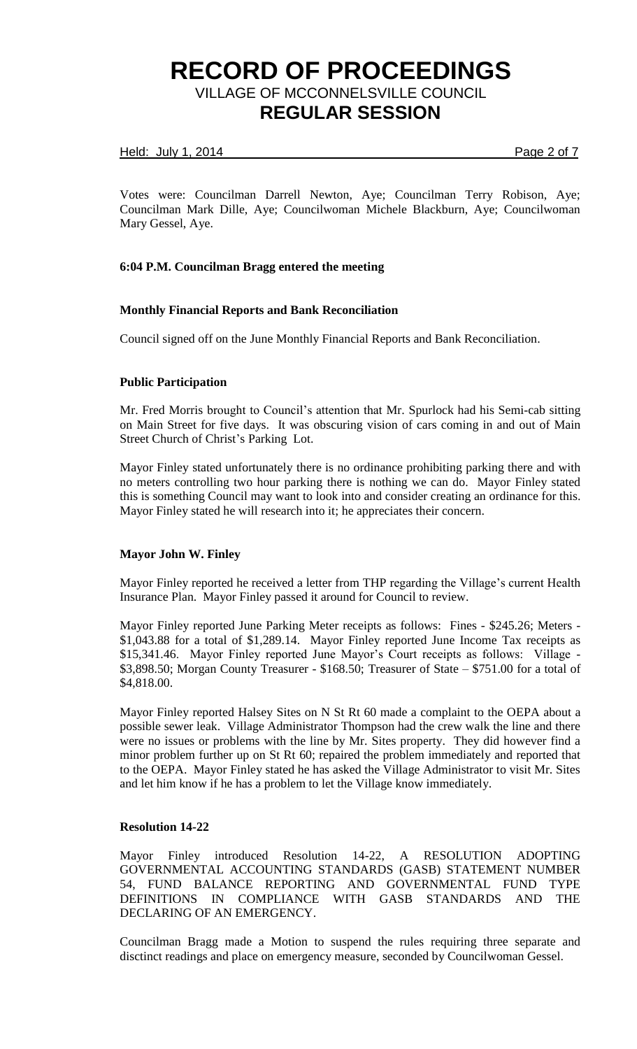### Held: July 1, 2014 **Page 2 of 7**

Votes were: Councilman Darrell Newton, Aye; Councilman Terry Robison, Aye; Councilman Mark Dille, Aye; Councilwoman Michele Blackburn, Aye; Councilwoman Mary Gessel, Aye.

## **6:04 P.M. Councilman Bragg entered the meeting**

## **Monthly Financial Reports and Bank Reconciliation**

Council signed off on the June Monthly Financial Reports and Bank Reconciliation.

## **Public Participation**

Mr. Fred Morris brought to Council's attention that Mr. Spurlock had his Semi-cab sitting on Main Street for five days. It was obscuring vision of cars coming in and out of Main Street Church of Christ's Parking Lot.

Mayor Finley stated unfortunately there is no ordinance prohibiting parking there and with no meters controlling two hour parking there is nothing we can do. Mayor Finley stated this is something Council may want to look into and consider creating an ordinance for this. Mayor Finley stated he will research into it; he appreciates their concern.

## **Mayor John W. Finley**

Mayor Finley reported he received a letter from THP regarding the Village's current Health Insurance Plan. Mayor Finley passed it around for Council to review.

Mayor Finley reported June Parking Meter receipts as follows: Fines - \$245.26; Meters - \$1,043.88 for a total of \$1,289.14. Mayor Finley reported June Income Tax receipts as \$15,341.46. Mayor Finley reported June Mayor's Court receipts as follows: Village - \$3,898.50; Morgan County Treasurer - \$168.50; Treasurer of State – \$751.00 for a total of \$4,818.00.

Mayor Finley reported Halsey Sites on N St Rt 60 made a complaint to the OEPA about a possible sewer leak. Village Administrator Thompson had the crew walk the line and there were no issues or problems with the line by Mr. Sites property. They did however find a minor problem further up on St Rt 60; repaired the problem immediately and reported that to the OEPA. Mayor Finley stated he has asked the Village Administrator to visit Mr. Sites and let him know if he has a problem to let the Village know immediately.

## **Resolution 14-22**

Mayor Finley introduced Resolution 14-22, A RESOLUTION ADOPTING GOVERNMENTAL ACCOUNTING STANDARDS (GASB) STATEMENT NUMBER 54, FUND BALANCE REPORTING AND GOVERNMENTAL FUND TYPE DEFINITIONS IN COMPLIANCE WITH GASB STANDARDS AND THE DECLARING OF AN EMERGENCY.

Councilman Bragg made a Motion to suspend the rules requiring three separate and disctinct readings and place on emergency measure, seconded by Councilwoman Gessel.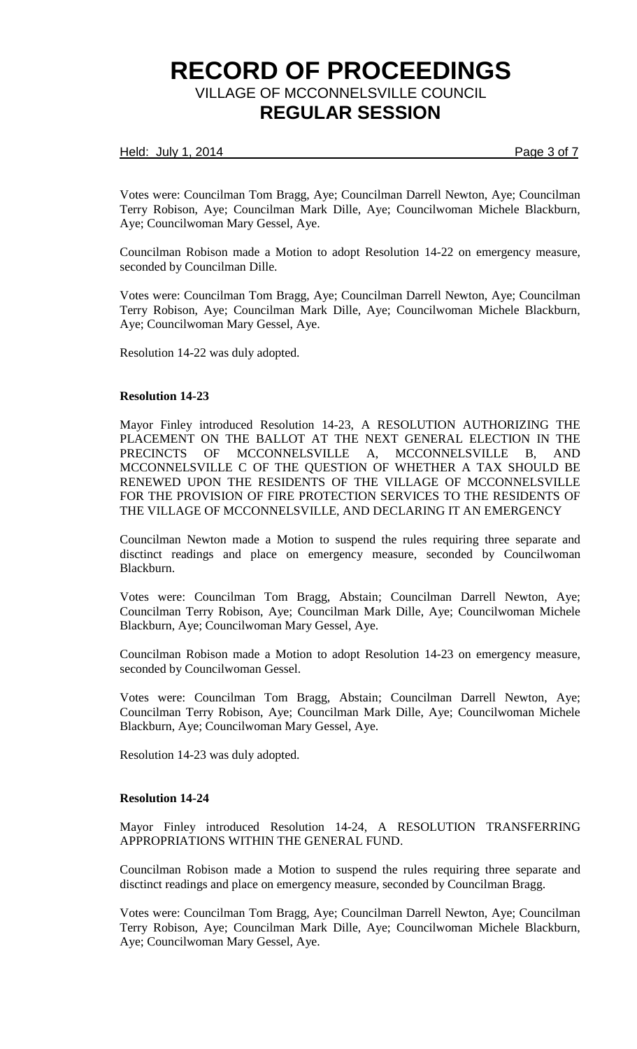### Held: July 1, 2014 **Page 3 of 7**

Votes were: Councilman Tom Bragg, Aye; Councilman Darrell Newton, Aye; Councilman Terry Robison, Aye; Councilman Mark Dille, Aye; Councilwoman Michele Blackburn, Aye; Councilwoman Mary Gessel, Aye.

Councilman Robison made a Motion to adopt Resolution 14-22 on emergency measure, seconded by Councilman Dille.

Votes were: Councilman Tom Bragg, Aye; Councilman Darrell Newton, Aye; Councilman Terry Robison, Aye; Councilman Mark Dille, Aye; Councilwoman Michele Blackburn, Aye; Councilwoman Mary Gessel, Aye.

Resolution 14-22 was duly adopted.

### **Resolution 14-23**

Mayor Finley introduced Resolution 14-23, A RESOLUTION AUTHORIZING THE PLACEMENT ON THE BALLOT AT THE NEXT GENERAL ELECTION IN THE PRECINCTS OF MCCONNELSVILLE A, MCCONNELSVILLE B, AND MCCONNELSVILLE C OF THE QUESTION OF WHETHER A TAX SHOULD BE RENEWED UPON THE RESIDENTS OF THE VILLAGE OF MCCONNELSVILLE FOR THE PROVISION OF FIRE PROTECTION SERVICES TO THE RESIDENTS OF THE VILLAGE OF MCCONNELSVILLE, AND DECLARING IT AN EMERGENCY

Councilman Newton made a Motion to suspend the rules requiring three separate and disctinct readings and place on emergency measure, seconded by Councilwoman Blackburn.

Votes were: Councilman Tom Bragg, Abstain; Councilman Darrell Newton, Aye; Councilman Terry Robison, Aye; Councilman Mark Dille, Aye; Councilwoman Michele Blackburn, Aye; Councilwoman Mary Gessel, Aye.

Councilman Robison made a Motion to adopt Resolution 14-23 on emergency measure, seconded by Councilwoman Gessel.

Votes were: Councilman Tom Bragg, Abstain; Councilman Darrell Newton, Aye; Councilman Terry Robison, Aye; Councilman Mark Dille, Aye; Councilwoman Michele Blackburn, Aye; Councilwoman Mary Gessel, Aye.

Resolution 14-23 was duly adopted.

## **Resolution 14-24**

Mayor Finley introduced Resolution 14-24, A RESOLUTION TRANSFERRING APPROPRIATIONS WITHIN THE GENERAL FUND.

Councilman Robison made a Motion to suspend the rules requiring three separate and disctinct readings and place on emergency measure, seconded by Councilman Bragg.

Votes were: Councilman Tom Bragg, Aye; Councilman Darrell Newton, Aye; Councilman Terry Robison, Aye; Councilman Mark Dille, Aye; Councilwoman Michele Blackburn, Aye; Councilwoman Mary Gessel, Aye.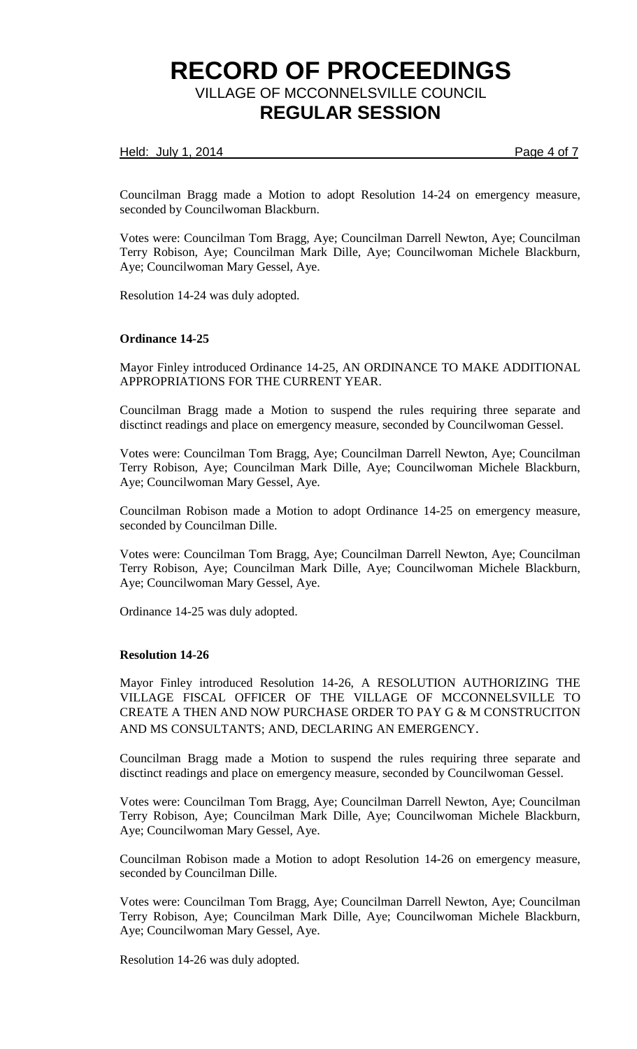### Held: July 1, 2014 **Page 4 of 7**

Councilman Bragg made a Motion to adopt Resolution 14-24 on emergency measure, seconded by Councilwoman Blackburn.

Votes were: Councilman Tom Bragg, Aye; Councilman Darrell Newton, Aye; Councilman Terry Robison, Aye; Councilman Mark Dille, Aye; Councilwoman Michele Blackburn, Aye; Councilwoman Mary Gessel, Aye.

Resolution 14-24 was duly adopted.

### **Ordinance 14-25**

Mayor Finley introduced Ordinance 14-25, AN ORDINANCE TO MAKE ADDITIONAL APPROPRIATIONS FOR THE CURRENT YEAR.

Councilman Bragg made a Motion to suspend the rules requiring three separate and disctinct readings and place on emergency measure, seconded by Councilwoman Gessel.

Votes were: Councilman Tom Bragg, Aye; Councilman Darrell Newton, Aye; Councilman Terry Robison, Aye; Councilman Mark Dille, Aye; Councilwoman Michele Blackburn, Aye; Councilwoman Mary Gessel, Aye.

Councilman Robison made a Motion to adopt Ordinance 14-25 on emergency measure, seconded by Councilman Dille.

Votes were: Councilman Tom Bragg, Aye; Councilman Darrell Newton, Aye; Councilman Terry Robison, Aye; Councilman Mark Dille, Aye; Councilwoman Michele Blackburn, Aye; Councilwoman Mary Gessel, Aye.

Ordinance 14-25 was duly adopted.

#### **Resolution 14-26**

Mayor Finley introduced Resolution 14-26, A RESOLUTION AUTHORIZING THE VILLAGE FISCAL OFFICER OF THE VILLAGE OF MCCONNELSVILLE TO CREATE A THEN AND NOW PURCHASE ORDER TO PAY G & M CONSTRUCITON AND MS CONSULTANTS; AND, DECLARING AN EMERGENCY.

Councilman Bragg made a Motion to suspend the rules requiring three separate and disctinct readings and place on emergency measure, seconded by Councilwoman Gessel.

Votes were: Councilman Tom Bragg, Aye; Councilman Darrell Newton, Aye; Councilman Terry Robison, Aye; Councilman Mark Dille, Aye; Councilwoman Michele Blackburn, Aye; Councilwoman Mary Gessel, Aye.

Councilman Robison made a Motion to adopt Resolution 14-26 on emergency measure, seconded by Councilman Dille.

Votes were: Councilman Tom Bragg, Aye; Councilman Darrell Newton, Aye; Councilman Terry Robison, Aye; Councilman Mark Dille, Aye; Councilwoman Michele Blackburn, Aye; Councilwoman Mary Gessel, Aye.

Resolution 14-26 was duly adopted.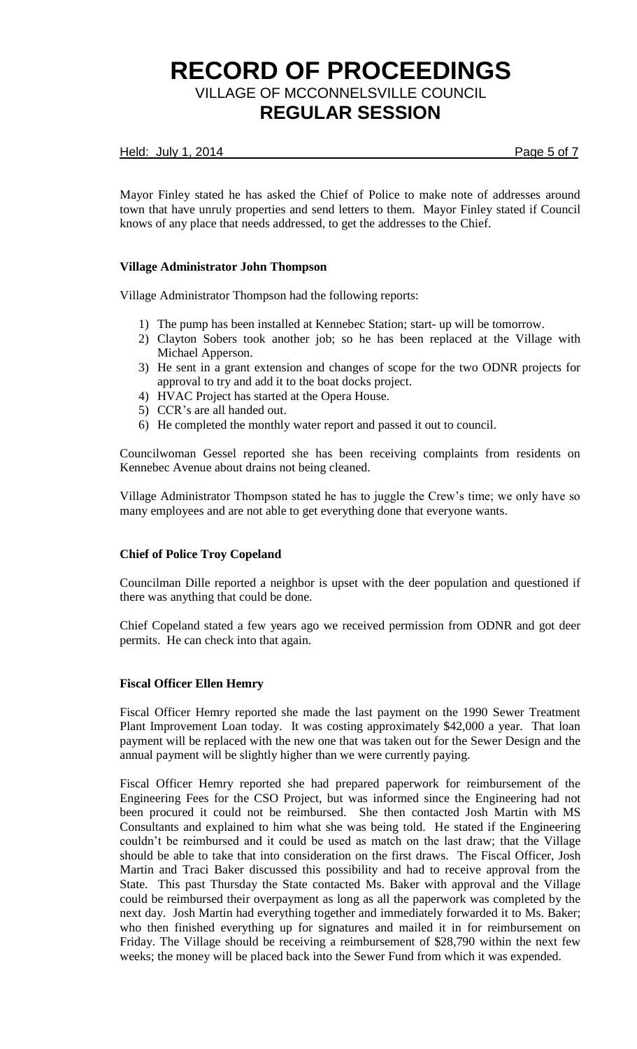### Held: July 1, 2014 **Page 5 of 7**

Mayor Finley stated he has asked the Chief of Police to make note of addresses around town that have unruly properties and send letters to them. Mayor Finley stated if Council knows of any place that needs addressed, to get the addresses to the Chief.

## **Village Administrator John Thompson**

Village Administrator Thompson had the following reports:

- 1) The pump has been installed at Kennebec Station; start- up will be tomorrow.
- 2) Clayton Sobers took another job; so he has been replaced at the Village with Michael Apperson.
- 3) He sent in a grant extension and changes of scope for the two ODNR projects for approval to try and add it to the boat docks project.
- 4) HVAC Project has started at the Opera House.
- 5) CCR's are all handed out.
- 6) He completed the monthly water report and passed it out to council.

Councilwoman Gessel reported she has been receiving complaints from residents on Kennebec Avenue about drains not being cleaned.

Village Administrator Thompson stated he has to juggle the Crew's time; we only have so many employees and are not able to get everything done that everyone wants.

## **Chief of Police Troy Copeland**

Councilman Dille reported a neighbor is upset with the deer population and questioned if there was anything that could be done.

Chief Copeland stated a few years ago we received permission from ODNR and got deer permits. He can check into that again.

## **Fiscal Officer Ellen Hemry**

Fiscal Officer Hemry reported she made the last payment on the 1990 Sewer Treatment Plant Improvement Loan today. It was costing approximately \$42,000 a year. That loan payment will be replaced with the new one that was taken out for the Sewer Design and the annual payment will be slightly higher than we were currently paying.

Fiscal Officer Hemry reported she had prepared paperwork for reimbursement of the Engineering Fees for the CSO Project, but was informed since the Engineering had not been procured it could not be reimbursed. She then contacted Josh Martin with MS Consultants and explained to him what she was being told. He stated if the Engineering couldn't be reimbursed and it could be used as match on the last draw; that the Village should be able to take that into consideration on the first draws. The Fiscal Officer, Josh Martin and Traci Baker discussed this possibility and had to receive approval from the State. This past Thursday the State contacted Ms. Baker with approval and the Village could be reimbursed their overpayment as long as all the paperwork was completed by the next day. Josh Martin had everything together and immediately forwarded it to Ms. Baker; who then finished everything up for signatures and mailed it in for reimbursement on Friday. The Village should be receiving a reimbursement of \$28,790 within the next few weeks; the money will be placed back into the Sewer Fund from which it was expended.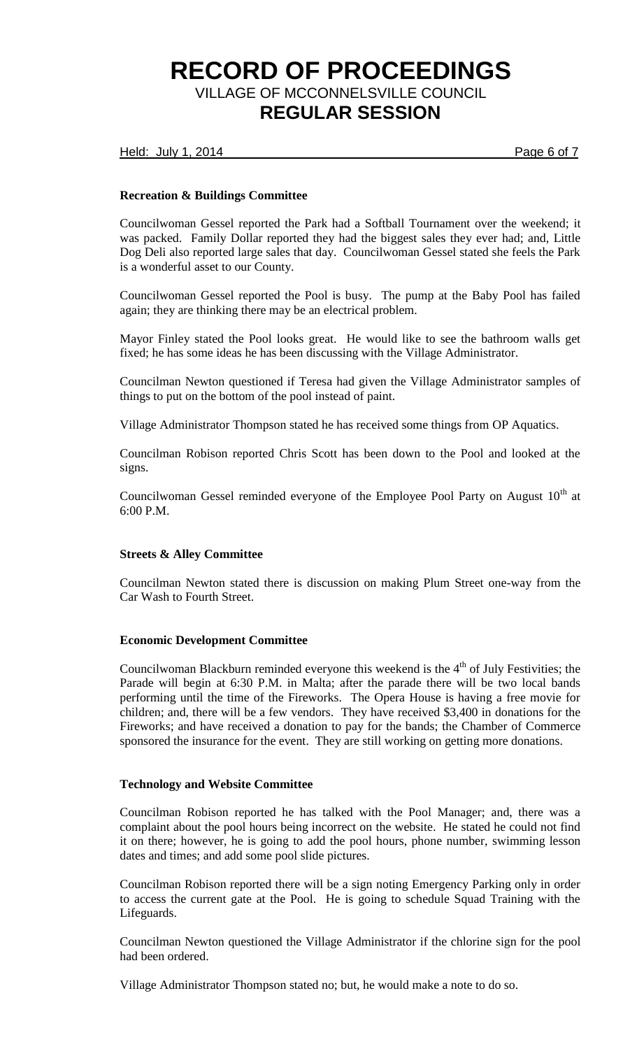Held: July 1, 2014 **Page 6 of 7** 

## **Recreation & Buildings Committee**

Councilwoman Gessel reported the Park had a Softball Tournament over the weekend; it was packed. Family Dollar reported they had the biggest sales they ever had; and, Little Dog Deli also reported large sales that day. Councilwoman Gessel stated she feels the Park is a wonderful asset to our County.

Councilwoman Gessel reported the Pool is busy. The pump at the Baby Pool has failed again; they are thinking there may be an electrical problem.

Mayor Finley stated the Pool looks great. He would like to see the bathroom walls get fixed; he has some ideas he has been discussing with the Village Administrator.

Councilman Newton questioned if Teresa had given the Village Administrator samples of things to put on the bottom of the pool instead of paint.

Village Administrator Thompson stated he has received some things from OP Aquatics.

Councilman Robison reported Chris Scott has been down to the Pool and looked at the signs.

Councilwoman Gessel reminded everyone of the Employee Pool Party on August  $10<sup>th</sup>$  at 6:00 P.M.

## **Streets & Alley Committee**

Councilman Newton stated there is discussion on making Plum Street one-way from the Car Wash to Fourth Street.

#### **Economic Development Committee**

Councilwoman Blackburn reminded everyone this weekend is the  $4<sup>th</sup>$  of July Festivities; the Parade will begin at 6:30 P.M. in Malta; after the parade there will be two local bands performing until the time of the Fireworks. The Opera House is having a free movie for children; and, there will be a few vendors. They have received \$3,400 in donations for the Fireworks; and have received a donation to pay for the bands; the Chamber of Commerce sponsored the insurance for the event. They are still working on getting more donations.

### **Technology and Website Committee**

Councilman Robison reported he has talked with the Pool Manager; and, there was a complaint about the pool hours being incorrect on the website. He stated he could not find it on there; however, he is going to add the pool hours, phone number, swimming lesson dates and times; and add some pool slide pictures.

Councilman Robison reported there will be a sign noting Emergency Parking only in order to access the current gate at the Pool. He is going to schedule Squad Training with the Lifeguards.

Councilman Newton questioned the Village Administrator if the chlorine sign for the pool had been ordered.

Village Administrator Thompson stated no; but, he would make a note to do so.